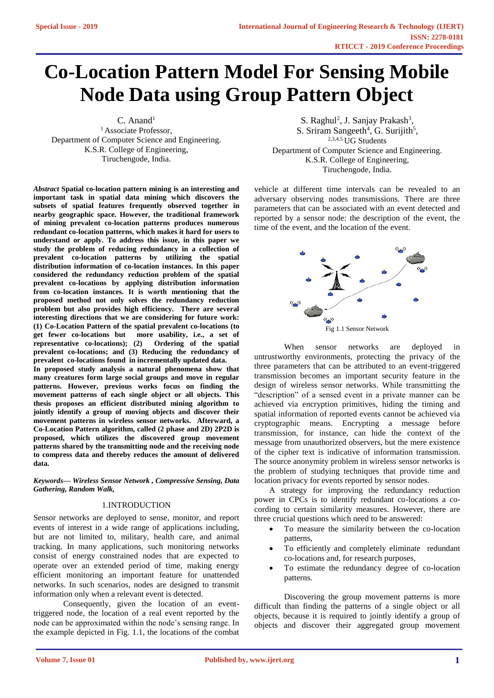# **Co-Location Pattern Model For Sensing Mobile Node Data using Group Pattern Object**

C. Anand<sup>1</sup> <sup>1</sup> Associate Professor, Department of Computer Science and Engineering. K.S.R. College of Engineering, Tiruchengode, India.

*Abstract* **Spatial co-location pattern mining is an interesting and important task in spatial data mining which discovers the subsets of spatial features frequently observed together in nearby geographic space. However, the traditional framework of mining prevalent co-location patterns produces numerous redundant co-location patterns, which makes it hard for users to understand or apply. To address this issue, in this paper we study the problem of reducing redundancy in a collection of prevalent co-location patterns by utilizing the spatial distribution information of co-location instances. In this paper considered the redundancy reduction problem of the spatial prevalent co-locations by applying distribution information from co-location instances. It is worth mentioning that the proposed method not only solves the redundancy reduction problem but also provides high efficiency. There are several interesting directions that we are considering for future work: (1) Co-Location Pattern of the spatial prevalent co-locations (to get fewer co-locations but more usability, i.e., a set of representative co-locations); (2) Ordering of the spatial prevalent co-locations; and (3) Reducing the redundancy of prevalent co-locations found in incrementally updated data. In proposed study analysis a natural phenomena show that many creatures form large social groups and move in regular patterns. However, previous works focus on finding the movement patterns of each single object or all objects. This thesis proposes an efficient distributed mining algorithm to jointly identify a group of moving objects and discover their movement patterns in wireless sensor networks. Afterward, a Co-Location Pattern algorithm, called (2 phase and 2D) 2P2D is proposed, which utilizes the discovered group movement patterns shared by the transmitting node and the receiving node to compress data and thereby reduces the amount of delivered data.** 

*Keywords— Wireless Sensor Network , Compressive Sensing, Data Gathering, Random Walk,* 

# 1.INTRODUCTION

Sensor networks are deployed to sense, monitor, and report events of interest in a wide range of applications including, but are not limited to, military, health care, and animal tracking. In many applications, such monitoring networks consist of energy constrained nodes that are expected to operate over an extended period of time, making energy efficient monitoring an important feature for unattended networks. In such scenarios, nodes are designed to transmit information only when a relevant event is detected.

Consequently, given the location of an eventtriggered node, the location of a real event reported by the node can be approximated within the node's sensing range. In the example depicted in Fig. 1.1, the locations of the combat

S. Raghul<sup>2</sup>, J. Sanjay Prakash<sup>3</sup>, S. Sriram Sangeeth<sup>4</sup>, G. Surijith<sup>5</sup>, 2,3,4,5 UG Students Department of Computer Science and Engineering. K.S.R. College of Engineering, Tiruchengode, India.

vehicle at different time intervals can be revealed to an adversary observing nodes transmissions. There are three parameters that can be associated with an event detected and reported by a sensor node: the description of the event, the time of the event, and the location of the event.



When sensor networks are deployed in untrustworthy environments, protecting the privacy of the three parameters that can be attributed to an event-triggered transmission becomes an important security feature in the design of wireless sensor networks. While transmitting the "description" of a sensed event in a private manner can be achieved via encryption primitives, hiding the timing and spatial information of reported events cannot be achieved via cryptographic means. Encrypting a message before transmission, for instance, can hide the context of the message from unauthorized observers, but the mere existence of the cipher text is indicative of information transmission. The source anonymity problem in wireless sensor networks is the problem of studying techniques that provide time and location privacy for events reported by sensor nodes.

A strategy for improving the redundancy reduction power in CPCs is to identify redundant co-locations a cocording to certain similarity measures. However, there are three crucial questions which need to be answered:

- To measure the similarity between the co-location patterns,
- To efficiently and completely eliminate redundant co-locations and, for research purposes,
- To estimate the redundancy degree of co-location patterns.

Discovering the group movement patterns is more difficult than finding the patterns of a single object or all objects, because it is required to jointly identify a group of objects and discover their aggregated group movement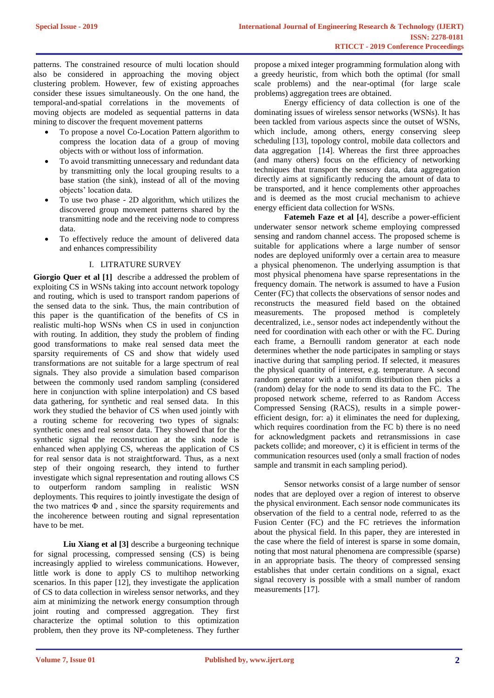patterns. The constrained resource of multi location should also be considered in approaching the moving object clustering problem. However, few of existing approaches consider these issues simultaneously. On the one hand, the temporal-and-spatial correlations in the movements of moving objects are modeled as sequential patterns in data mining to discover the frequent movement patterns

- To propose a novel Co-Location Pattern algorithm to compress the location data of a group of moving objects with or without loss of information.
- To avoid transmitting unnecessary and redundant data by transmitting only the local grouping results to a base station (the sink), instead of all of the moving objects' location data.
- To use two phase 2D algorithm, which utilizes the discovered group movement patterns shared by the transmitting node and the receiving node to compress data.
- To effectively reduce the amount of delivered data and enhances compressibility

## I. LITRATURE SURVEY

**Giorgio Quer et al [1]** describe a addressed the problem of exploiting CS in WSNs taking into account network topology and routing, which is used to transport random paperions of the sensed data to the sink. Thus, the main contribution of this paper is the quantification of the benefits of CS in realistic multi-hop WSNs when CS in used in conjunction with routing. In addition, they study the problem of finding good transformations to make real sensed data meet the sparsity requirements of CS and show that widely used transformations are not suitable for a large spectrum of real signals. They also provide a simulation based comparison between the commonly used random sampling (considered here in conjunction with spline interpolation) and CS based data gathering, for synthetic and real sensed data. In this work they studied the behavior of CS when used jointly with a routing scheme for recovering two types of signals: synthetic ones and real sensor data. They showed that for the synthetic signal the reconstruction at the sink node is enhanced when applying CS, whereas the application of CS for real sensor data is not straightforward. Thus, as a next step of their ongoing research, they intend to further investigate which signal representation and routing allows CS to outperform random sampling in realistic WSN deployments. This requires to jointly investigate the design of the two matrices  $\Phi$  and, since the sparsity requirements and the incoherence between routing and signal representation have to be met.

**Liu Xiang et al [3]** describe a burgeoning technique for signal processing, compressed sensing (CS) is being increasingly applied to wireless communications. However, little work is done to apply CS to multihop networking scenarios. In this paper [12], they investigate the application of CS to data collection in wireless sensor networks, and they aim at minimizing the network energy consumption through joint routing and compressed aggregation. They first characterize the optimal solution to this optimization problem, then they prove its NP-completeness. They further propose a mixed integer programming formulation along with a greedy heuristic, from which both the optimal (for small scale problems) and the near-optimal (for large scale problems) aggregation trees are obtained.

Energy efficiency of data collection is one of the dominating issues of wireless sensor networks (WSNs). It has been tackled from various aspects since the outset of WSNs, which include, among others, energy conserving sleep scheduling [13], topology control, mobile data collectors and data aggregation [14]. Whereas the first three approaches (and many others) focus on the efficiency of networking techniques that transport the sensory data, data aggregation directly aims at significantly reducing the amount of data to be transported, and it hence complements other approaches and is deemed as the most crucial mechanism to achieve energy efficient data collection for WSNs.

**Fatemeh Faze et al [**4], describe a power-efficient underwater sensor network scheme employing compressed sensing and random channel access. The proposed scheme is suitable for applications where a large number of sensor nodes are deployed uniformly over a certain area to measure a physical phenomenon. The underlying assumption is that most physical phenomena have sparse representations in the frequency domain. The network is assumed to have a Fusion Center (FC) that collects the observations of sensor nodes and reconstructs the measured field based on the obtained measurements. The proposed method is completely decentralized, i.e., sensor nodes act independently without the need for coordination with each other or with the FC. During each frame, a Bernoulli random generator at each node determines whether the node participates in sampling or stays inactive during that sampling period. If selected, it measures the physical quantity of interest, e.g. temperature. A second random generator with a uniform distribution then picks a (random) delay for the node to send its data to the FC. The proposed network scheme, referred to as Random Access Compressed Sensing (RACS), results in a simple powerefficient design, for: a) it eliminates the need for duplexing, which requires coordination from the FC b) there is no need for acknowledgment packets and retransmissions in case packets collide; and moreover, c) it is efficient in terms of the communication resources used (only a small fraction of nodes sample and transmit in each sampling period).

Sensor networks consist of a large number of sensor nodes that are deployed over a region of interest to observe the physical environment. Each sensor node communicates its observation of the field to a central node, referred to as the Fusion Center (FC) and the FC retrieves the information about the physical field. In this paper, they are interested in the case where the field of interest is sparse in some domain, noting that most natural phenomena are compressible (sparse) in an appropriate basis. The theory of compressed sensing establishes that under certain conditions on a signal, exact signal recovery is possible with a small number of random measurements [17].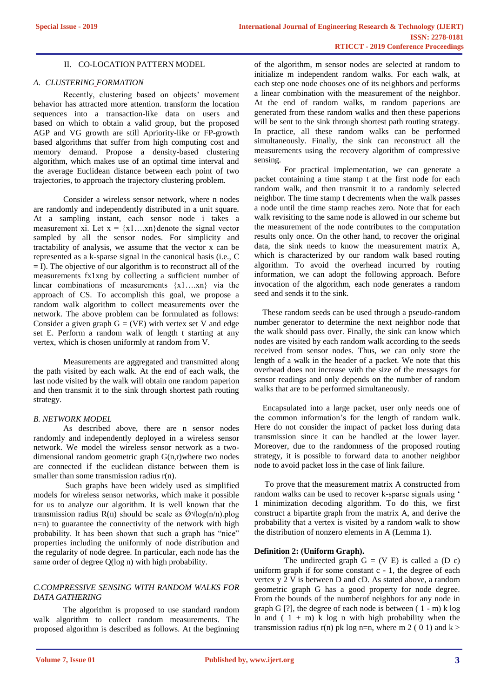# II. CO-LOCATION PATTERN MODEL

# *A. CLUSTERING FORMATION*

Recently, clustering based on objects' movement behavior has attracted more attention. transform the location sequences into a transaction-like data on users and based on which to obtain a valid group, but the proposed AGP and VG growth are still Apriority-like or FP-growth based algorithms that suffer from high computing cost and memory demand. Propose a density-based clustering algorithm, which makes use of an optimal time interval and the average Euclidean distance between each point of two trajectories, to approach the trajectory clustering problem.

Consider a wireless sensor network, where n nodes are randomly and independently distributed in a unit square. At a sampling instant, each sensor node i takes a measurement xi. Let  $x = \{x1...xn\}$  denote the signal vector sampled by all the sensor nodes. For simplicity and tractability of analysis, we assume that the vector x can be represented as a k-sparse signal in the canonical basis (i.e., C  $=$  I). The objective of our algorithm is to reconstruct all of the measurements fx1xng by collecting a sufficient number of linear combinations of measurements {x1….xn} via the approach of CS. To accomplish this goal, we propose a random walk algorithm to collect measurements over the network. The above problem can be formulated as follows: Consider a given graph  $G = (VE)$  with vertex set V and edge set E. Perform a random walk of length t starting at any vertex, which is chosen uniformly at random from V.

Measurements are aggregated and transmitted along the path visited by each walk. At the end of each walk, the last node visited by the walk will obtain one random paperion and then transmit it to the sink through shortest path routing strategy.

# *B. NETWORK MODEL*

As described above, there are n sensor nodes randomly and independently deployed in a wireless sensor network. We model the wireless sensor network as a twodimensional random geometric graph G(n,r)where two nodes are connected if the euclidean distance between them is smaller than some transmission radius r(n).

Such graphs have been widely used as simplified models for wireless sensor networks, which make it possible for us to analyze our algorithm. It is well known that the transmission radius R(n) should be scale as  $\phi\sqrt{\log(n/n)}$ .plog n=n) to guarantee the connectivity of the network with high probability. It has been shown that such a graph has "nice" properties including the uniformly of node distribution and the regularity of node degree. In particular, each node has the same order of degree Q(log n) with high probability.

# *C.COMPRESSIVE SENSING WITH RANDOM WALKS FOR DATA GATHERING*

The algorithm is proposed to use standard random walk algorithm to collect random measurements. The proposed algorithm is described as follows. At the beginning of the algorithm, m sensor nodes are selected at random to initialize m independent random walks. For each walk, at each step one node chooses one of its neighbors and performs a linear combination with the measurement of the neighbor. At the end of random walks, m random paperions are generated from these random walks and then these paperions will be sent to the sink through shortest path routing strategy. In practice, all these random walks can be performed simultaneously. Finally, the sink can reconstruct all the measurements using the recovery algorithm of compressive sensing.

For practical implementation, we can generate a packet containing a time stamp t at the first node for each random walk, and then transmit it to a randomly selected neighbor. The time stamp t decrements when the walk passes a node until the time stamp reaches zero. Note that for each walk revisiting to the same node is allowed in our scheme but the measurement of the node contributes to the computation results only once. On the other hand, to recover the original data, the sink needs to know the measurement matrix A, which is characterized by our random walk based routing algorithm. To avoid the overhead incurred by routing information, we can adopt the following approach. Before invocation of the algorithm, each node generates a random seed and sends it to the sink.

 These random seeds can be used through a pseudo-random number generator to determine the next neighbor node that the walk should pass over. Finally, the sink can know which nodes are visited by each random walk according to the seeds received from sensor nodes. Thus, we can only store the length of a walk in the header of a packet. We note that this overhead does not increase with the size of the messages for sensor readings and only depends on the number of random walks that are to be performed simultaneously.

 Encapsulated into a large packet, user only needs one of the common information's for the length of random walk. Here do not consider the impact of packet loss during data transmission since it can be handled at the lower layer. Moreover, due to the randomness of the proposed routing strategy, it is possible to forward data to another neighbor node to avoid packet loss in the case of link failure.

 To prove that the measurement matrix A constructed from random walks can be used to recover k-sparse signals using ' 1 minimization decoding algorithm. To do this, we first construct a bipartite graph from the matrix A, and derive the probability that a vertex is visited by a random walk to show the distribution of nonzero elements in A (Lemma 1).

# **Definition 2: (Uniform Graph).**

The undirected graph  $G = (V E)$  is called a  $(D c)$ uniform graph if for some constant c - 1, the degree of each vertex y 2 V is between D and cD. As stated above, a random geometric graph G has a good property for node degree. From the bounds of the numberof neighbors for any node in graph G  $[?]$ , the degree of each node is between  $(1 - m)$  k log ln and  $(1 + m)$  k log n with high probability when the transmission radius r(n) pk log n=n, where m 2 (0 1) and  $k >$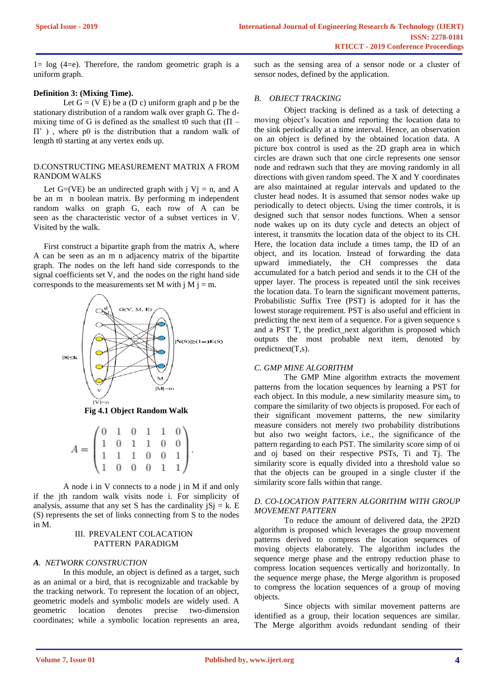$1=$  log (4=e). Therefore, the random geometric graph is a uniform graph.

#### **Definition 3: (Mixing Time).**

Let  $G = (V E)$  be a  $(D c)$  uniform graph and p be the stationary distribution of a random walk over graph G. The dmixing time of G is defined as the smallest t0 such that  $(\Pi -$ Π' ) , where p0 is the distribution that a random walk of length t0 starting at any vertex ends up.

## D.CONSTRUCTING MEASUREMENT MATRIX A FROM RANDOM WALKS

Let  $G=(VE)$  be an undirected graph with j  $Vj = n$ , and A be an m n boolean matrix. By performing m independent random walks on graph G, each row of A can be seen as the characteristic vector of a subset vertices in V. Visited by the walk.

 First construct a bipartite graph from the matrix A, where A can be seen as an m n adjacency matrix of the bipartite graph. The nodes on the left hand side corresponds to the signal coefficients set V, and the nodes on the right hand side corresponds to the measurements set M with  $j$  M  $j = m$ .



if the jth random walk visits node i. For simplicity of analysis, assume that any set S has the cardinality  $jSj = k$ . E (S) represents the set of links connecting from S to the nodes in M.

#### III. PREVALENT COLACATION PATTERN PARADIGM

#### *A. NETWORK CONSTRUCTION*

In this module, an object is defined as a target, such as an animal or a bird, that is recognizable and trackable by the tracking network. To represent the location of an object, geometric models and symbolic models are widely used. A geometric location denotes precise two-dimension coordinates; while a symbolic location represents an area, such as the sensing area of a sensor node or a cluster of sensor nodes, defined by the application.

# *B. OBJECT TRACKING*

Object tracking is defined as a task of detecting a moving object's location and reporting the location data to the sink periodically at a time interval. Hence, an observation on an object is defined by the obtained location data. A picture box control is used as the 2D graph area in which circles are drawn such that one circle represents one sensor node and redrawn such that they are moving randomly in all directions with given random speed. The X and Y coordinates are also maintained at regular intervals and updated to the cluster head nodes. It is assumed that sensor nodes wake up periodically to detect objects. Using the timer controls, it is designed such that sensor nodes functions. When a sensor node wakes up on its duty cycle and detects an object of interest, it transmits the location data of the object to its CH. Here, the location data include a times tamp, the ID of an object, and its location. Instead of forwarding the data upward immediately, the CH compresses the data accumulated for a batch period and sends it to the CH of the upper layer. The process is repeated until the sink receives the location data. To learn the significant movement patterns, Probabilistic Suffix Tree (PST) is adopted for it has the lowest storage requirement. PST is also useful and efficient in predicting the next item of a sequence. For a given sequence s and a PST T, the predict\_next algorithm is proposed which outputs the most probable next item, denoted by predictnext(T,s).

#### *C. GMP MINE ALGORITHM*

The GMP Mine algorithm extracts the movement patterns from the location sequences by learning a PST for each object. In this module, a new similarity measure  $\sinh$  to compare the similarity of two objects is proposed. For each of their significant movement patterns, the new similarity measure considers not merely two probability distributions but also two weight factors, i.e., the significance of the pattern regarding to each PST. The similarity score simp of oi and oj based on their respective PSTs, Ti and Tj. The similarity score is equally divided into a threshold value so that the objects can be grouped in a single cluster if the similarity score falls within that range.

## *D. CO-LOCATION PATTERN ALGORITHM WITH GROUP MOVEMENT PATTERN*

To reduce the amount of delivered data, the 2P2D algorithm is proposed which leverages the group movement patterns derived to compress the location sequences of moving objects elaborately. The algorithm includes the sequence merge phase and the entropy reduction phase to compress location sequences vertically and horizontally. In the sequence merge phase, the Merge algorithm is proposed to compress the location sequences of a group of moving objects.

Since objects with similar movement patterns are identified as a group, their location sequences are similar. The Merge algorithm avoids redundant sending of their